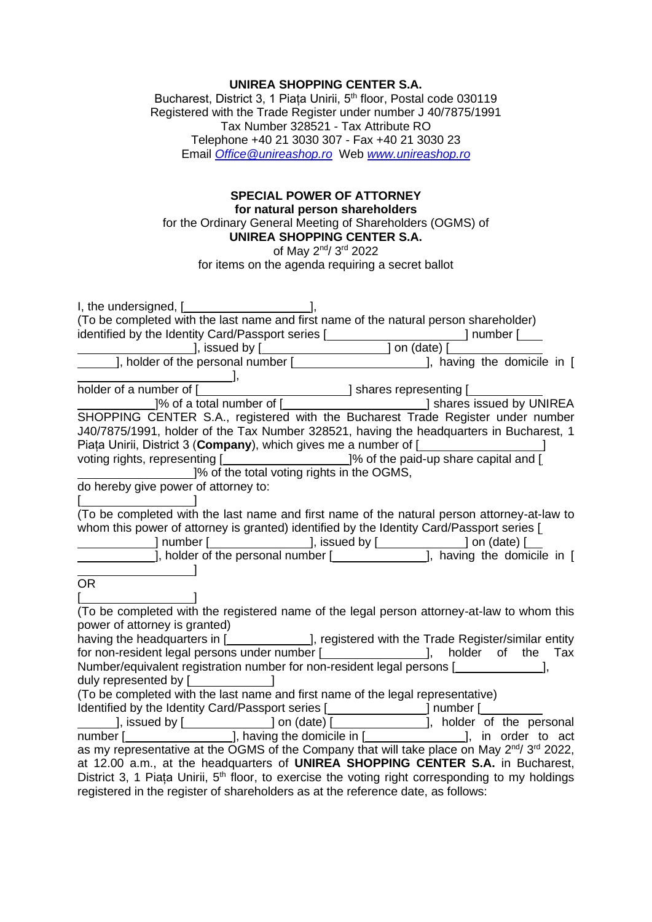## **UNIREA SHOPPING CENTER S.A.**

Bucharest, District 3, 1 Piața Unirii, 5<sup>th</sup> floor, Postal code 030119 Registered with the Trade Register under number J 40/7875/1991 Tax Number 328521 - Tax Attribute RO Telephone +40 21 3030 307 - Fax +40 21 3030 23 Email *[Office@unireashop.ro](mailto:Office@unireashop.ro)* Web *[www.unireashop.ro](http://www.unireashop.ro/)*

## **SPECIAL POWER OF ATTORNEY for natural person shareholders** for the Ordinary General Meeting of Shareholders (OGMS) of **UNIREA SHOPPING CENTER S.A.**

of May 2<sup>nd</sup>/ 3<sup>rd</sup> 2022

for items on the agenda requiring a secret ballot

| I, the undersigned, [ <b><i>_______________________</i></b>                                                                                                                                      |
|--------------------------------------------------------------------------------------------------------------------------------------------------------------------------------------------------|
| (To be completed with the last name and first name of the natural person shareholder)                                                                                                            |
|                                                                                                                                                                                                  |
|                                                                                                                                                                                                  |
|                                                                                                                                                                                                  |
|                                                                                                                                                                                                  |
|                                                                                                                                                                                                  |
|                                                                                                                                                                                                  |
| SHOPPING CENTER S.A., registered with the Bucharest Trade Register under number                                                                                                                  |
| J40/7875/1991, holder of the Tax Number 328521, having the headquarters in Bucharest, 1                                                                                                          |
| Piața Unirii, District 3 (Company), which gives me a number of [ <b>wildler</b> 1 and 1                                                                                                          |
|                                                                                                                                                                                                  |
| voting rights, representing [1,1,2000, 19% of the paid-up share capital and [1,1,2000, 19% of the total voting rights in the OGMS,<br>do hereby give power of attorney to:                       |
|                                                                                                                                                                                                  |
|                                                                                                                                                                                                  |
| (To be completed with the last name and first name of the natural person attorney-at-law to                                                                                                      |
| whom this power of attorney is granted) identified by the Identity Card/Passport series [                                                                                                        |
|                                                                                                                                                                                                  |
|                                                                                                                                                                                                  |
|                                                                                                                                                                                                  |
| <b>OR</b>                                                                                                                                                                                        |
|                                                                                                                                                                                                  |
| (To be completed with the registered name of the legal person attorney-at-law to whom this                                                                                                       |
| power of attorney is granted)<br>power or attorney is granted)<br>having the headquarters in [_____________], registered with the Trade Register/similar entity                                  |
|                                                                                                                                                                                                  |
| for non-resident legal persons under number [ <i>_________________</i> ], holder of the Tax                                                                                                      |
| Number/equivalent registration number for non-resident legal persons [                                                                                                                           |
|                                                                                                                                                                                                  |
| (To be completed with the last name and first name of the legal representative)                                                                                                                  |
| Identified by the Identity Card/Passport series [ <b>wildendia contrary contrary contrary contrary contrary contrary</b>                                                                         |
|                                                                                                                                                                                                  |
| as my representative at the OGMS of the Company that will take place on May 2nd/ 3rd 2022,                                                                                                       |
| at 12.00 a.m., at the headquarters of UNIREA SHOPPING CENTER S.A. in Bucharest,                                                                                                                  |
|                                                                                                                                                                                                  |
|                                                                                                                                                                                                  |
| District 3, 1 Piața Unirii, 5 <sup>th</sup> floor, to exercise the voting right corresponding to my holdings<br>registered in the register of shareholders as at the reference date, as follows: |